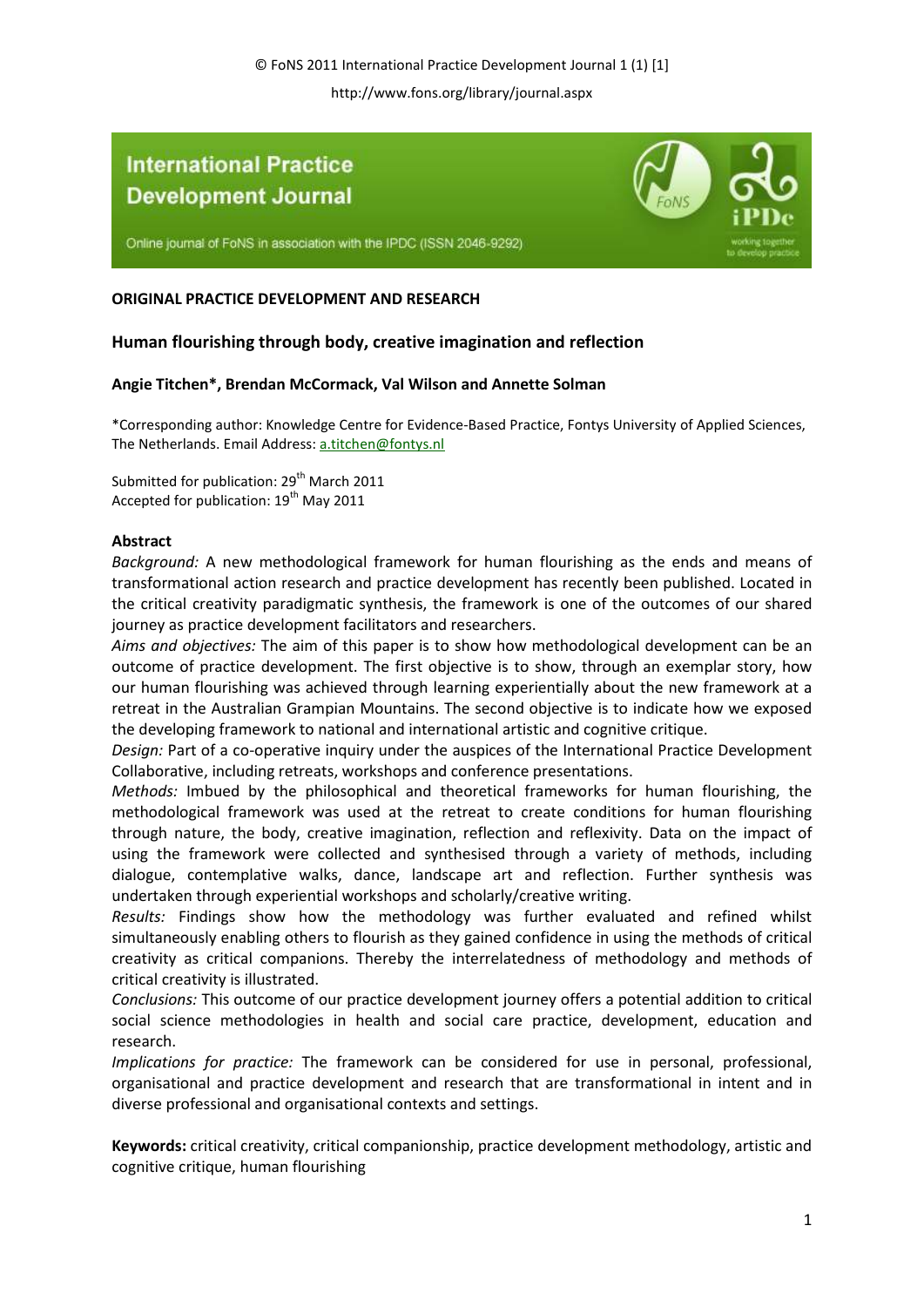# **International Practice Development Journal**



Online journal of FoNS in association with the IPDC (ISSN 2046-9292)

# **ORIGINAL PRACTICE DEVELOPMENT AND RESEARCH**

# **Human flourishing through body, creative imagination and reflection**

## **Angie Titchen\*, Brendan McCormack, Val Wilson and Annette Solman**

\*Corresponding author: Knowledge Centre for Evidence-Based Practice, Fontys University of Applied Sciences, The Netherlands. Email Address: a.titchen@fontys.nl

Submitted for publication: 29<sup>th</sup> March 2011 Accepted for publication: 19<sup>th</sup> May 2011

## **Abstract**

*Background:* A new methodological framework for human flourishing as the ends and means of transformational action research and practice development has recently been published. Located in the critical creativity paradigmatic synthesis, the framework is one of the outcomes of our shared journey as practice development facilitators and researchers.

*Aims and objectives:* The aim of this paper is to show how methodological development can be an outcome of practice development. The first objective is to show, through an exemplar story, how our human flourishing was achieved through learning experientially about the new framework at a retreat in the Australian Grampian Mountains. The second objective is to indicate how we exposed the developing framework to national and international artistic and cognitive critique.

*Design:* Part of a co-operative inquiry under the auspices of the International Practice Development Collaborative, including retreats, workshops and conference presentations.

*Methods:* Imbued by the philosophical and theoretical frameworks for human flourishing, the methodological framework was used at the retreat to create conditions for human flourishing through nature, the body, creative imagination, reflection and reflexivity. Data on the impact of using the framework were collected and synthesised through a variety of methods, including dialogue, contemplative walks, dance, landscape art and reflection. Further synthesis was undertaken through experiential workshops and scholarly/creative writing.

*Results:* Findings show how the methodology was further evaluated and refined whilst simultaneously enabling others to flourish as they gained confidence in using the methods of critical creativity as critical companions. Thereby the interrelatedness of methodology and methods of critical creativity is illustrated.

*Conclusions:* This outcome of our practice development journey offers a potential addition to critical social science methodologies in health and social care practice, development, education and research.

*Implications for practice:* The framework can be considered for use in personal, professional, organisational and practice development and research that are transformational in intent and in diverse professional and organisational contexts and settings.

**Keywords:** critical creativity, critical companionship, practice development methodology, artistic and cognitive critique, human flourishing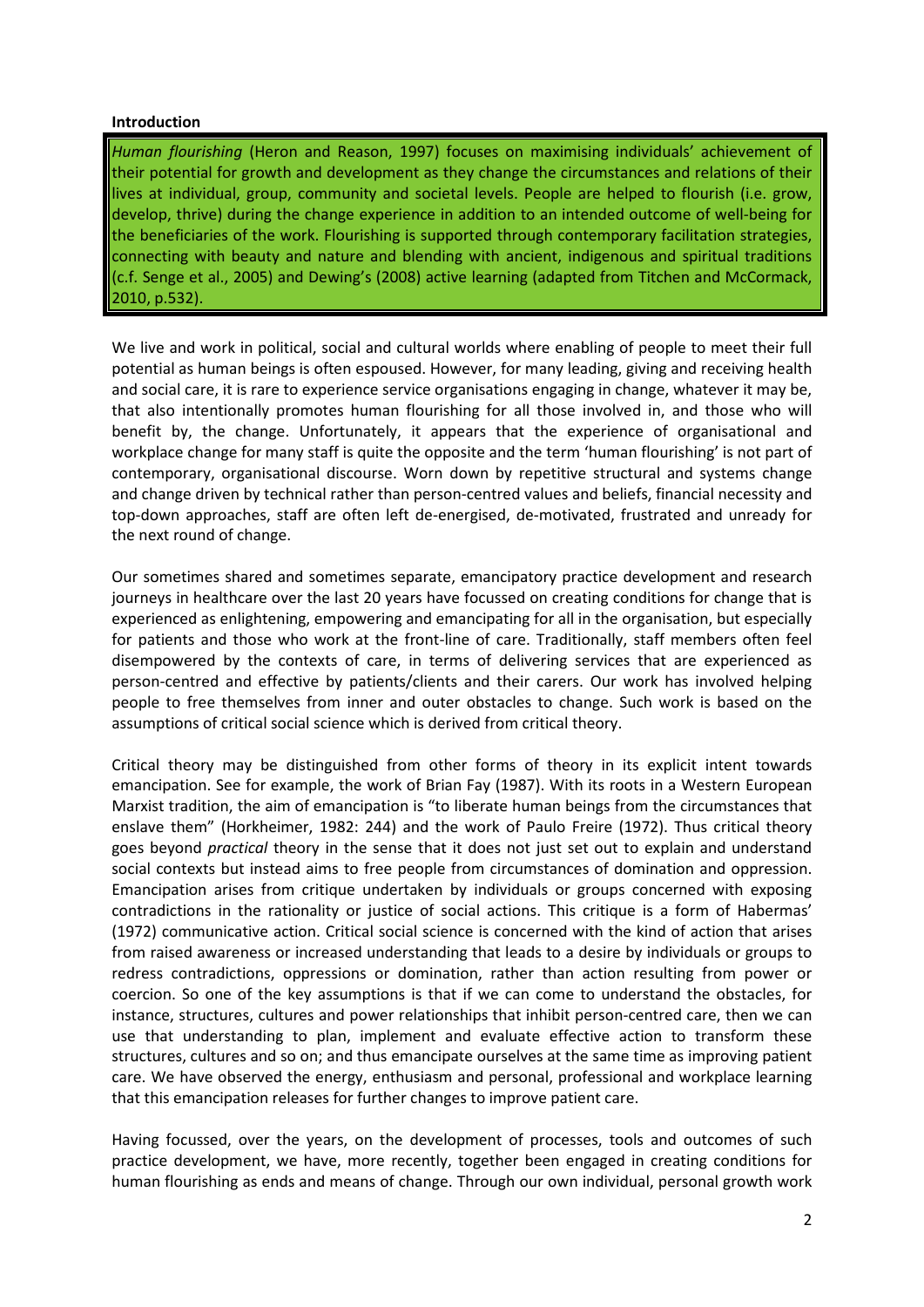#### **Introduction**

*Human flourishing* (Heron and Reason, 1997) focuses on maximising individuals' achievement of their potential for growth and development as they change the circumstances and relations of their lives at individual, group, community and societal levels. People are helped to flourish (i.e. grow, develop, thrive) during the change experience in addition to an intended outcome of well-being for the beneficiaries of the work. Flourishing is supported through contemporary facilitation strategies, connecting with beauty and nature and blending with ancient, indigenous and spiritual traditions (c.f. Senge et al., 2005) and Dewing's (2008) active learning (adapted from Titchen and McCormack, 2010, p.532).

We live and work in political, social and cultural worlds where enabling of people to meet their full potential as human beings is often espoused. However, for many leading, giving and receiving health and social care, it is rare to experience service organisations engaging in change, whatever it may be, that also intentionally promotes human flourishing for all those involved in, and those who will benefit by, the change. Unfortunately, it appears that the experience of organisational and workplace change for many staff is quite the opposite and the term 'human flourishing' is not part of contemporary, organisational discourse. Worn down by repetitive structural and systems change and change driven by technical rather than person-centred values and beliefs, financial necessity and top-down approaches, staff are often left de-energised, de-motivated, frustrated and unready for the next round of change.

Our sometimes shared and sometimes separate, emancipatory practice development and research journeys in healthcare over the last 20 years have focussed on creating conditions for change that is experienced as enlightening, empowering and emancipating for all in the organisation, but especially for patients and those who work at the front-line of care. Traditionally, staff members often feel disempowered by the contexts of care, in terms of delivering services that are experienced as person-centred and effective by patients/clients and their carers. Our work has involved helping people to free themselves from inner and outer obstacles to change. Such work is based on the assumptions of critical social science which is derived from critical theory.

Critical theory may be distinguished from other forms of theory in its explicit intent towards emancipation. See for example, the work of Brian Fay (1987). With its roots in a Western European Marxist tradition, the aim of emancipation is "to liberate human beings from the circumstances that enslave them" (Horkheimer, 1982: 244) and the work of Paulo Freire (1972). Thus critical theory goes beyond *practical* theory in the sense that it does not just set out to explain and understand social contexts but instead aims to free people from circumstances of domination and oppression. Emancipation arises from critique undertaken by individuals or groups concerned with exposing contradictions in the rationality or justice of social actions. This critique is a form of Habermas' (1972) communicative action. Critical social science is concerned with the kind of action that arises from raised awareness or increased understanding that leads to a desire by individuals or groups to redress contradictions, oppressions or domination, rather than action resulting from power or coercion. So one of the key assumptions is that if we can come to understand the obstacles, for instance, structures, cultures and power relationships that inhibit person-centred care, then we can use that understanding to plan, implement and evaluate effective action to transform these structures, cultures and so on; and thus emancipate ourselves at the same time as improving patient care. We have observed the energy, enthusiasm and personal, professional and workplace learning that this emancipation releases for further changes to improve patient care.

Having focussed, over the years, on the development of processes, tools and outcomes of such practice development, we have, more recently, together been engaged in creating conditions for human flourishing as ends and means of change. Through our own individual, personal growth work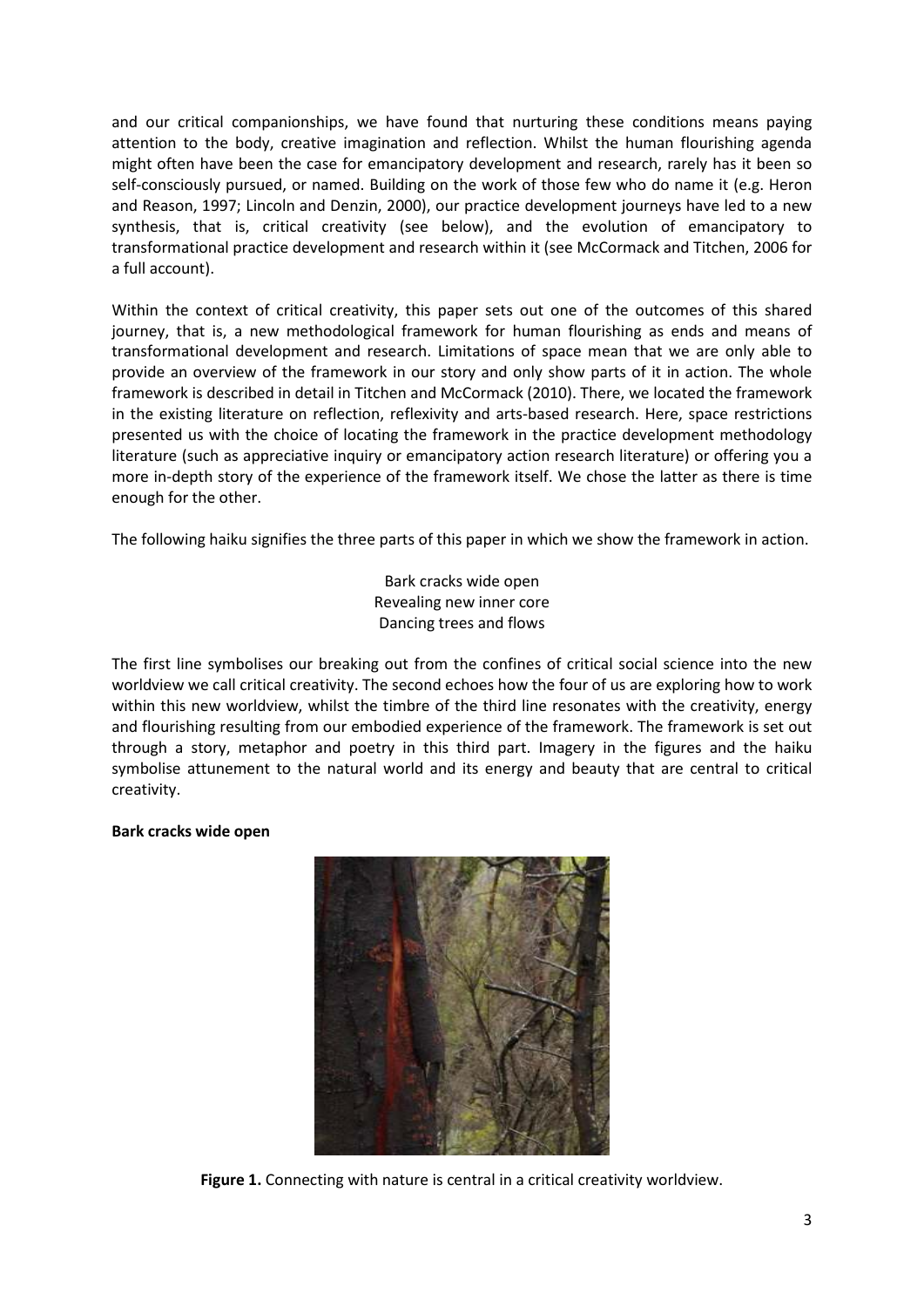and our critical companionships, we have found that nurturing these conditions means paying attention to the body, creative imagination and reflection. Whilst the human flourishing agenda might often have been the case for emancipatory development and research, rarely has it been so self-consciously pursued, or named. Building on the work of those few who do name it (e.g. Heron and Reason, 1997; Lincoln and Denzin, 2000), our practice development journeys have led to a new synthesis, that is, critical creativity (see below), and the evolution of emancipatory to transformational practice development and research within it (see McCormack and Titchen, 2006 for a full account).

Within the context of critical creativity, this paper sets out one of the outcomes of this shared journey, that is, a new methodological framework for human flourishing as ends and means of transformational development and research. Limitations of space mean that we are only able to provide an overview of the framework in our story and only show parts of it in action. The whole framework is described in detail in Titchen and McCormack (2010). There, we located the framework in the existing literature on reflection, reflexivity and arts-based research. Here, space restrictions presented us with the choice of locating the framework in the practice development methodology literature (such as appreciative inquiry or emancipatory action research literature) or offering you a more in-depth story of the experience of the framework itself. We chose the latter as there is time enough for the other.

The following haiku signifies the three parts of this paper in which we show the framework in action.

Bark cracks wide open Revealing new inner core Dancing trees and flows

The first line symbolises our breaking out from the confines of critical social science into the new worldview we call critical creativity. The second echoes how the four of us are exploring how to work within this new worldview, whilst the timbre of the third line resonates with the creativity, energy and flourishing resulting from our embodied experience of the framework. The framework is set out through a story, metaphor and poetry in this third part. Imagery in the figures and the haiku symbolise attunement to the natural world and its energy and beauty that are central to critical creativity.

# **Bark cracks wide open**



**Figure 1.** Connecting with nature is central in a critical creativity worldview.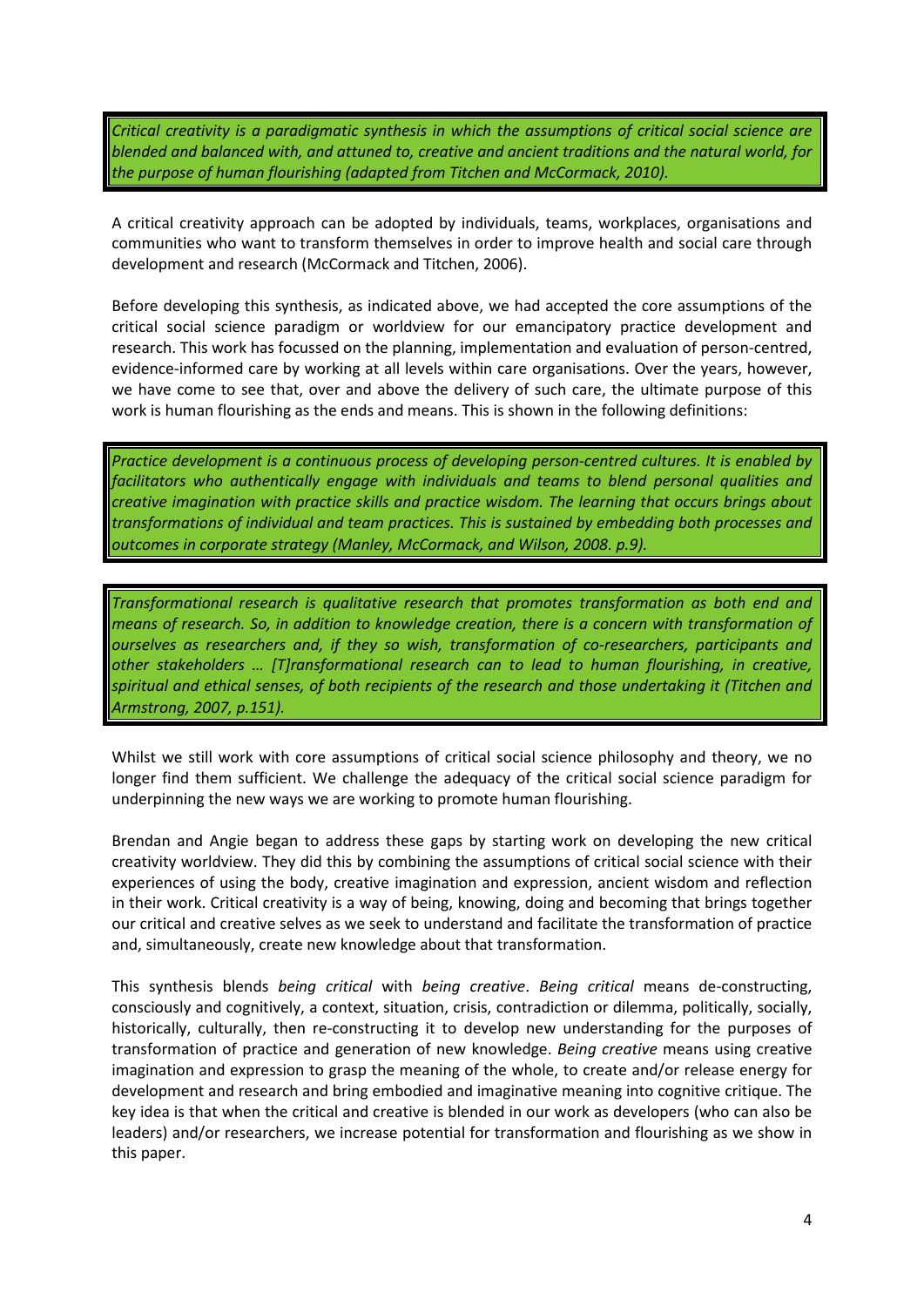*Critical creativity is a paradigmatic synthesis in which the assumptions of critical social science are blended and balanced with, and attuned to, creative and ancient traditions and the natural world, for the purpose of human flourishing (adapted from Titchen and McCormack, 2010).* 

A critical creativity approach can be adopted by individuals, teams, workplaces, organisations and communities who want to transform themselves in order to improve health and social care through development and research (McCormack and Titchen, 2006).

Before developing this synthesis, as indicated above, we had accepted the core assumptions of the critical social science paradigm or worldview for our emancipatory practice development and research. This work has focussed on the planning, implementation and evaluation of person-centred, evidence-informed care by working at all levels within care organisations. Over the years, however, we have come to see that, over and above the delivery of such care, the ultimate purpose of this work is human flourishing as the ends and means. This is shown in the following definitions:

*Practice development is a continuous process of developing person-centred cultures. It is enabled by facilitators who authentically engage with individuals and teams to blend personal qualities and creative imagination with practice skills and practice wisdom. The learning that occurs brings about transformations of individual and team practices. This is sustained by embedding both processes and outcomes in corporate strategy (Manley, McCormack, and Wilson, 2008. p.9).* 

*Transformational research is qualitative research that promotes transformation as both end and means of research. So, in addition to knowledge creation, there is a concern with transformation of ourselves as researchers and, if they so wish, transformation of co-researchers, participants and other stakeholders … [T]ransformational research can to lead to human flourishing, in creative, spiritual and ethical senses, of both recipients of the research and those undertaking it (Titchen and Armstrong, 2007, p.151).* 

Whilst we still work with core assumptions of critical social science philosophy and theory, we no longer find them sufficient. We challenge the adequacy of the critical social science paradigm for underpinning the new ways we are working to promote human flourishing.

Brendan and Angie began to address these gaps by starting work on developing the new critical creativity worldview. They did this by combining the assumptions of critical social science with their experiences of using the body, creative imagination and expression, ancient wisdom and reflection in their work. Critical creativity is a way of being, knowing, doing and becoming that brings together our critical and creative selves as we seek to understand and facilitate the transformation of practice and, simultaneously, create new knowledge about that transformation.

This synthesis blends *being critical* with *being creative*. *Being critical* means de-constructing, consciously and cognitively, a context, situation, crisis, contradiction or dilemma, politically, socially, historically, culturally, then re-constructing it to develop new understanding for the purposes of transformation of practice and generation of new knowledge. *Being creative* means using creative imagination and expression to grasp the meaning of the whole, to create and/or release energy for development and research and bring embodied and imaginative meaning into cognitive critique. The key idea is that when the critical and creative is blended in our work as developers (who can also be leaders) and/or researchers, we increase potential for transformation and flourishing as we show in this paper.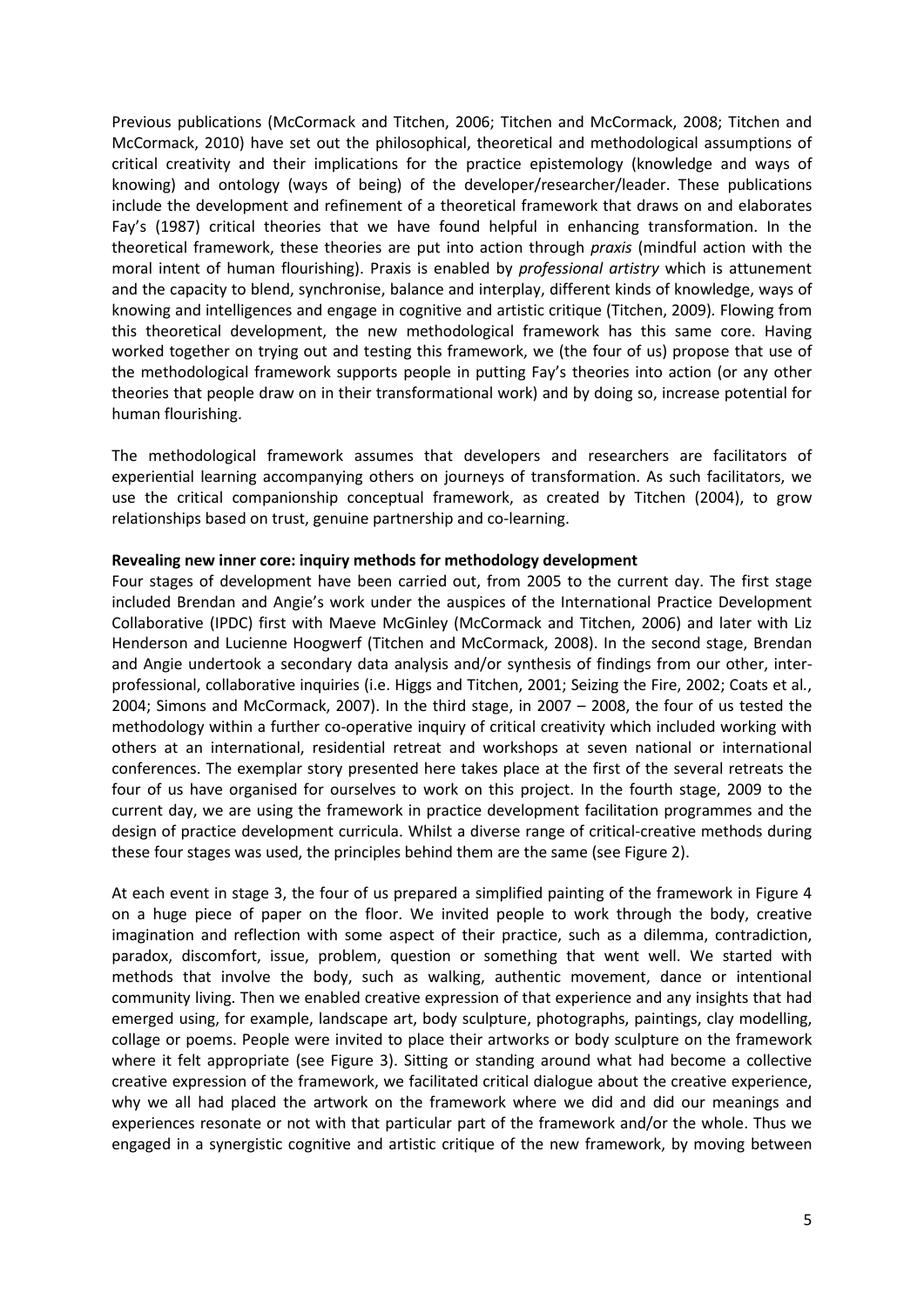Previous publications (McCormack and Titchen, 2006; Titchen and McCormack, 2008; Titchen and McCormack, 2010) have set out the philosophical, theoretical and methodological assumptions of critical creativity and their implications for the practice epistemology (knowledge and ways of knowing) and ontology (ways of being) of the developer/researcher/leader. These publications include the development and refinement of a theoretical framework that draws on and elaborates Fay's (1987) critical theories that we have found helpful in enhancing transformation. In the theoretical framework, these theories are put into action through *praxis* (mindful action with the moral intent of human flourishing). Praxis is enabled by *professional artistry* which is attunement and the capacity to blend, synchronise, balance and interplay, different kinds of knowledge, ways of knowing and intelligences and engage in cognitive and artistic critique (Titchen, 2009)*.* Flowing from this theoretical development, the new methodological framework has this same core. Having worked together on trying out and testing this framework, we (the four of us) propose that use of the methodological framework supports people in putting Fay's theories into action (or any other theories that people draw on in their transformational work) and by doing so, increase potential for human flourishing.

The methodological framework assumes that developers and researchers are facilitators of experiential learning accompanying others on journeys of transformation. As such facilitators, we use the critical companionship conceptual framework, as created by Titchen (2004), to grow relationships based on trust, genuine partnership and co-learning.

#### **Revealing new inner core: inquiry methods for methodology development**

Four stages of development have been carried out, from 2005 to the current day. The first stage included Brendan and Angie's work under the auspices of the International Practice Development Collaborative (IPDC) first with Maeve McGinley (McCormack and Titchen, 2006) and later with Liz Henderson and Lucienne Hoogwerf (Titchen and McCormack, 2008). In the second stage, Brendan and Angie undertook a secondary data analysis and/or synthesis of findings from our other, interprofessional, collaborative inquiries (i.e. Higgs and Titchen, 2001; Seizing the Fire, 2002; Coats et al*.*, 2004; Simons and McCormack, 2007). In the third stage, in 2007 – 2008, the four of us tested the methodology within a further co-operative inquiry of critical creativity which included working with others at an international, residential retreat and workshops at seven national or international conferences. The exemplar story presented here takes place at the first of the several retreats the four of us have organised for ourselves to work on this project. In the fourth stage, 2009 to the current day, we are using the framework in practice development facilitation programmes and the design of practice development curricula. Whilst a diverse range of critical-creative methods during these four stages was used, the principles behind them are the same (see Figure 2).

At each event in stage 3, the four of us prepared a simplified painting of the framework in Figure 4 on a huge piece of paper on the floor. We invited people to work through the body, creative imagination and reflection with some aspect of their practice, such as a dilemma, contradiction, paradox, discomfort, issue, problem, question or something that went well. We started with methods that involve the body, such as walking, authentic movement, dance or intentional community living. Then we enabled creative expression of that experience and any insights that had emerged using, for example, landscape art, body sculpture, photographs, paintings, clay modelling, collage or poems. People were invited to place their artworks or body sculpture on the framework where it felt appropriate (see Figure 3). Sitting or standing around what had become a collective creative expression of the framework, we facilitated critical dialogue about the creative experience, why we all had placed the artwork on the framework where we did and did our meanings and experiences resonate or not with that particular part of the framework and/or the whole. Thus we engaged in a synergistic cognitive and artistic critique of the new framework, by moving between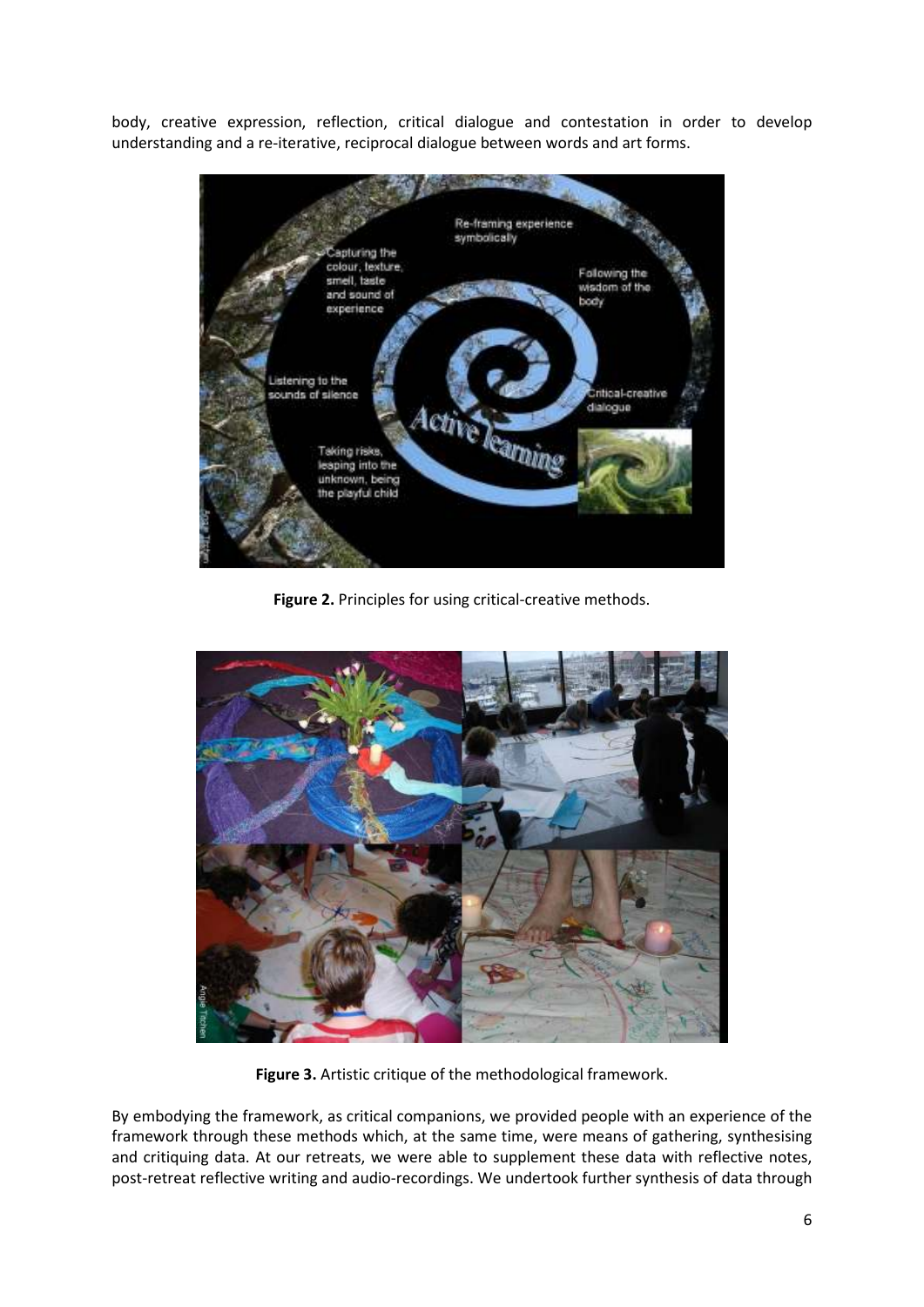body, creative expression, reflection, critical dialogue and contestation in order to develop understanding and a re-iterative, reciprocal dialogue between words and art forms.



**Figure 2.** Principles for using critical-creative methods.



**Figure 3.** Artistic critique of the methodological framework.

By embodying the framework, as critical companions, we provided people with an experience of the framework through these methods which, at the same time, were means of gathering, synthesising and critiquing data. At our retreats, we were able to supplement these data with reflective notes, post-retreat reflective writing and audio-recordings. We undertook further synthesis of data through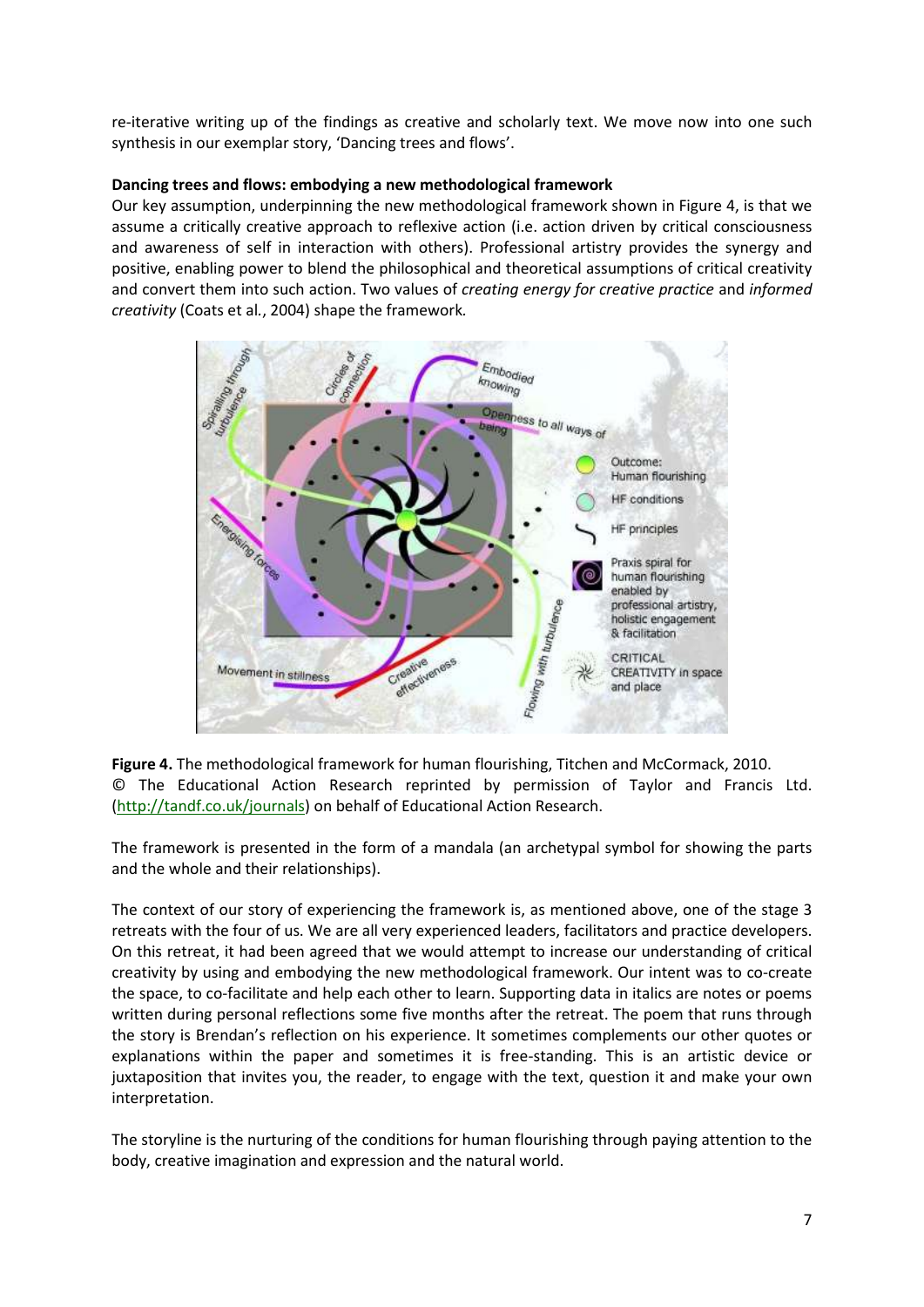re-iterative writing up of the findings as creative and scholarly text. We move now into one such synthesis in our exemplar story, 'Dancing trees and flows'.

## **Dancing trees and flows: embodying a new methodological framework**

Our key assumption, underpinning the new methodological framework shown in Figure 4, is that we assume a critically creative approach to reflexive action (i.e. action driven by critical consciousness and awareness of self in interaction with others). Professional artistry provides the synergy and positive, enabling power to blend the philosophical and theoretical assumptions of critical creativity and convert them into such action. Two values of *creating energy for creative practice* and *informed creativity* (Coats et al*.*, 2004) shape the framework*.* 



**Figure 4.** The methodological framework for human flourishing, Titchen and McCormack, 2010. © The Educational Action Research reprinted by permission of Taylor and Francis Ltd. (http://tandf.co.uk/journals) on behalf of Educational Action Research.

The framework is presented in the form of a mandala (an archetypal symbol for showing the parts and the whole and their relationships).

The context of our story of experiencing the framework is, as mentioned above, one of the stage 3 retreats with the four of us. We are all very experienced leaders, facilitators and practice developers. On this retreat, it had been agreed that we would attempt to increase our understanding of critical creativity by using and embodying the new methodological framework. Our intent was to co-create the space, to co-facilitate and help each other to learn. Supporting data in italics are notes or poems written during personal reflections some five months after the retreat. The poem that runs through the story is Brendan's reflection on his experience. It sometimes complements our other quotes or explanations within the paper and sometimes it is free-standing. This is an artistic device or juxtaposition that invites you, the reader, to engage with the text, question it and make your own interpretation.

The storyline is the nurturing of the conditions for human flourishing through paying attention to the body, creative imagination and expression and the natural world.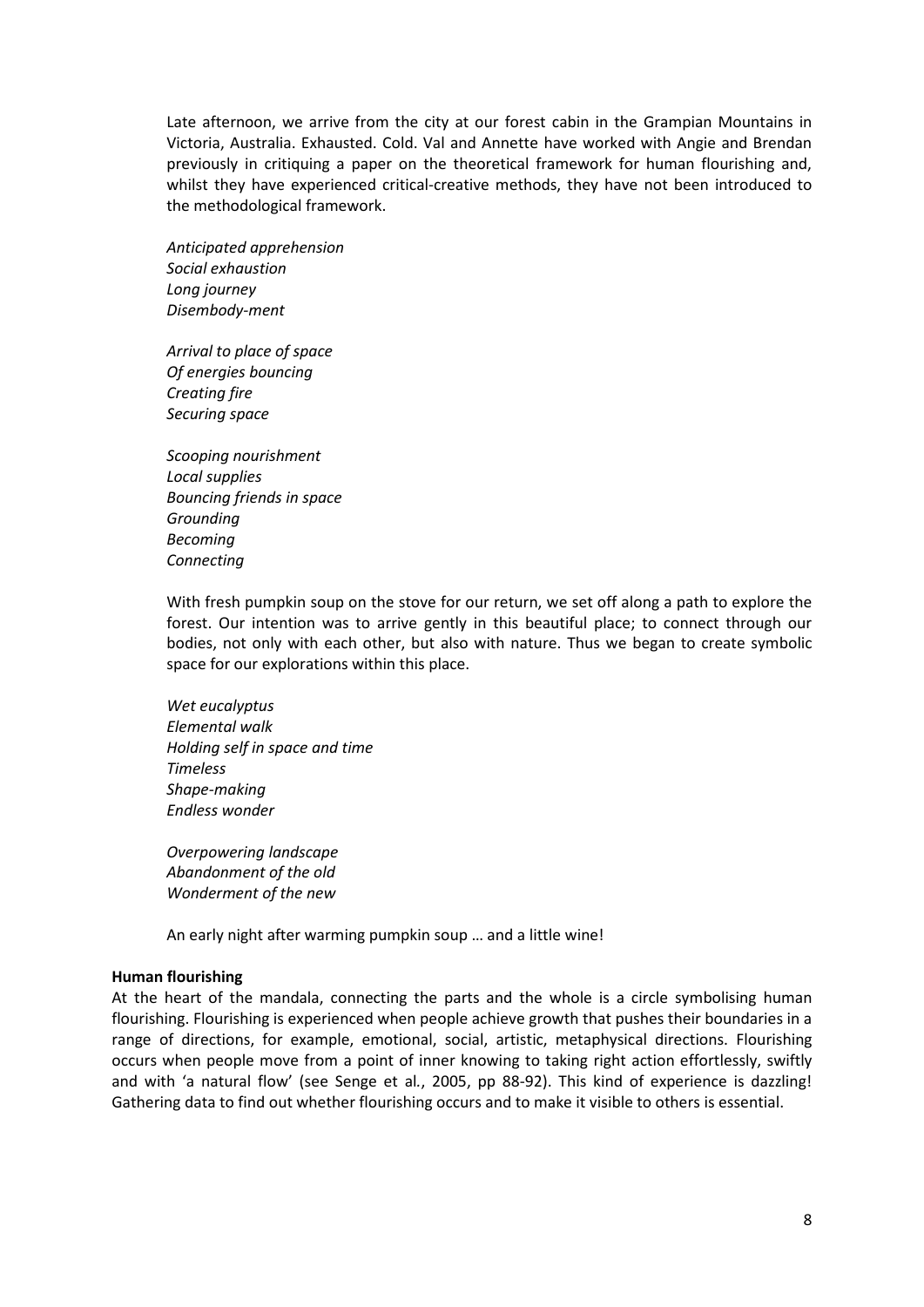Late afternoon, we arrive from the city at our forest cabin in the Grampian Mountains in Victoria, Australia. Exhausted. Cold. Val and Annette have worked with Angie and Brendan previously in critiquing a paper on the theoretical framework for human flourishing and, whilst they have experienced critical-creative methods, they have not been introduced to the methodological framework.

*Anticipated apprehension Social exhaustion Long journey Disembody-ment* 

*Arrival to place of space Of energies bouncing Creating fire Securing space* 

*Scooping nourishment Local supplies Bouncing friends in space Grounding Becoming Connecting* 

With fresh pumpkin soup on the stove for our return, we set off along a path to explore the forest. Our intention was to arrive gently in this beautiful place; to connect through our bodies, not only with each other, but also with nature. Thus we began to create symbolic space for our explorations within this place.

*Wet eucalyptus Elemental walk Holding self in space and time Timeless Shape-making Endless wonder* 

*Overpowering landscape Abandonment of the old Wonderment of the new* 

An early night after warming pumpkin soup … and a little wine!

## **Human flourishing**

At the heart of the mandala, connecting the parts and the whole is a circle symbolising human flourishing. Flourishing is experienced when people achieve growth that pushes their boundaries in a range of directions, for example, emotional, social, artistic, metaphysical directions. Flourishing occurs when people move from a point of inner knowing to taking right action effortlessly, swiftly and with 'a natural flow' (see Senge et al*.*, 2005, pp 88-92). This kind of experience is dazzling! Gathering data to find out whether flourishing occurs and to make it visible to others is essential.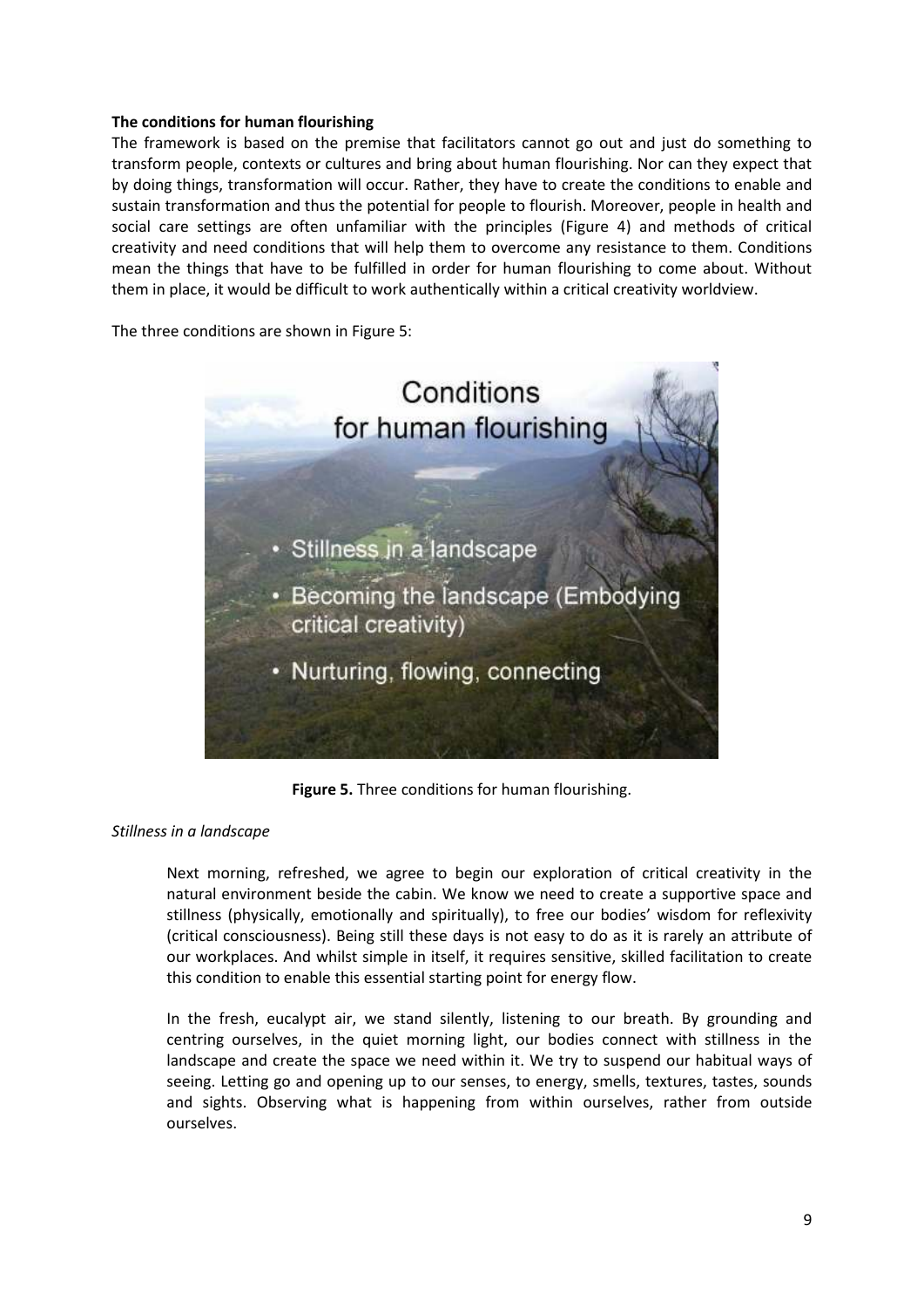## **The conditions for human flourishing**

The framework is based on the premise that facilitators cannot go out and just do something to transform people, contexts or cultures and bring about human flourishing. Nor can they expect that by doing things, transformation will occur. Rather, they have to create the conditions to enable and sustain transformation and thus the potential for people to flourish. Moreover, people in health and social care settings are often unfamiliar with the principles (Figure 4) and methods of critical creativity and need conditions that will help them to overcome any resistance to them. Conditions mean the things that have to be fulfilled in order for human flourishing to come about. Without them in place, it would be difficult to work authentically within a critical creativity worldview.

The three conditions are shown in Figure 5:



**Figure 5.** Three conditions for human flourishing.

# *Stillness in a landscape*

Next morning, refreshed, we agree to begin our exploration of critical creativity in the natural environment beside the cabin. We know we need to create a supportive space and stillness (physically, emotionally and spiritually), to free our bodies' wisdom for reflexivity (critical consciousness). Being still these days is not easy to do as it is rarely an attribute of our workplaces. And whilst simple in itself, it requires sensitive, skilled facilitation to create this condition to enable this essential starting point for energy flow.

In the fresh, eucalypt air, we stand silently, listening to our breath. By grounding and centring ourselves, in the quiet morning light, our bodies connect with stillness in the landscape and create the space we need within it. We try to suspend our habitual ways of seeing. Letting go and opening up to our senses, to energy, smells, textures, tastes, sounds and sights. Observing what is happening from within ourselves, rather from outside ourselves.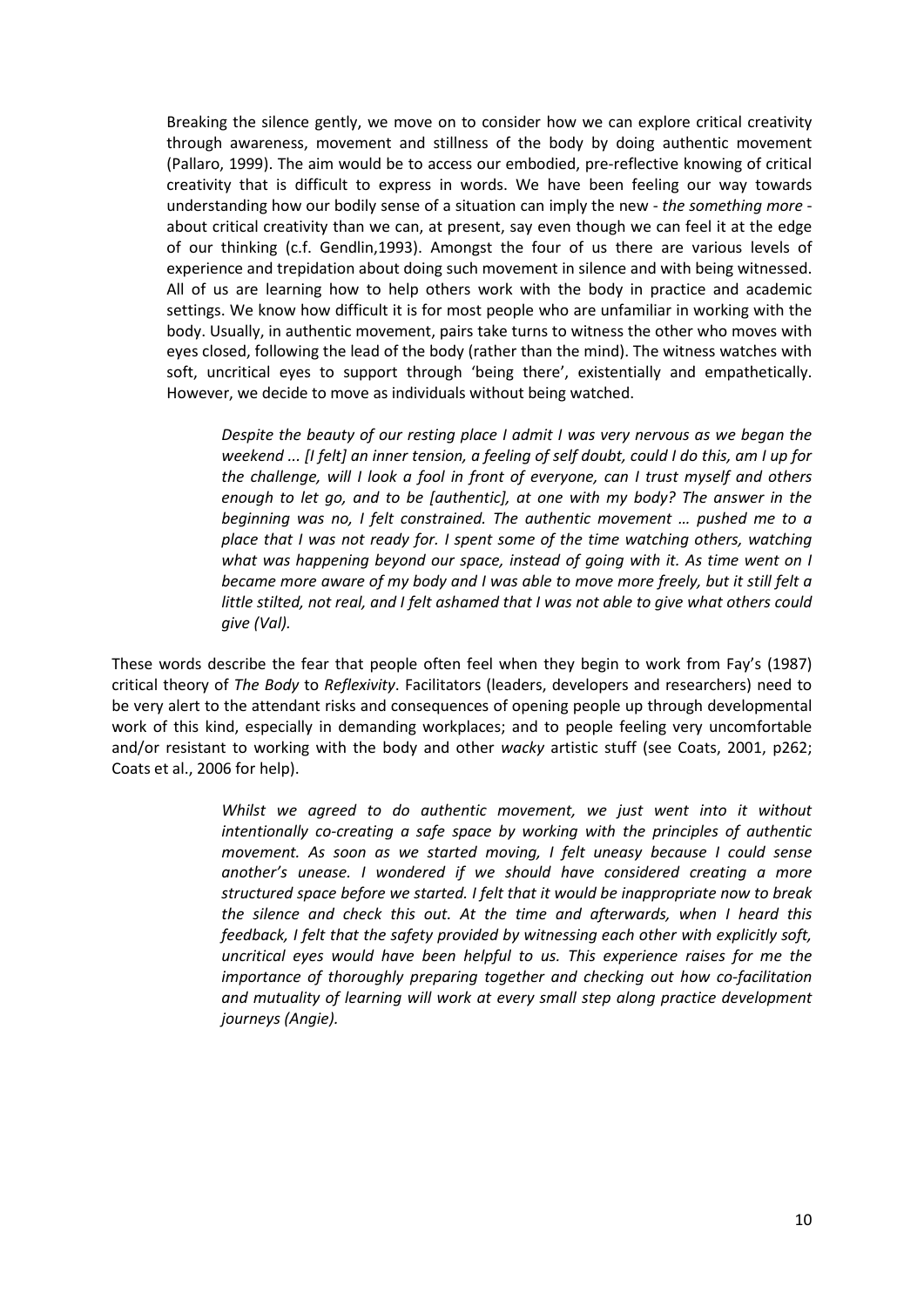Breaking the silence gently, we move on to consider how we can explore critical creativity through awareness, movement and stillness of the body by doing authentic movement (Pallaro, 1999). The aim would be to access our embodied, pre-reflective knowing of critical creativity that is difficult to express in words. We have been feeling our way towards understanding how our bodily sense of a situation can imply the new - *the something more* about critical creativity than we can, at present, say even though we can feel it at the edge of our thinking (c.f. Gendlin,1993). Amongst the four of us there are various levels of experience and trepidation about doing such movement in silence and with being witnessed. All of us are learning how to help others work with the body in practice and academic settings. We know how difficult it is for most people who are unfamiliar in working with the body. Usually, in authentic movement, pairs take turns to witness the other who moves with eyes closed, following the lead of the body (rather than the mind). The witness watches with soft, uncritical eyes to support through 'being there', existentially and empathetically. However, we decide to move as individuals without being watched.

*Despite the beauty of our resting place I admit I was very nervous as we began the weekend ... [I felt] an inner tension, a feeling of self doubt, could I do this, am I up for the challenge, will I look a fool in front of everyone, can I trust myself and others enough to let go, and to be [authentic], at one with my body? The answer in the beginning was no, I felt constrained. The authentic movement … pushed me to a place that I was not ready for. I spent some of the time watching others, watching what was happening beyond our space, instead of going with it. As time went on I became more aware of my body and I was able to move more freely, but it still felt a little stilted, not real, and I felt ashamed that I was not able to give what others could give (Val).* 

These words describe the fear that people often feel when they begin to work from Fay's (1987) critical theory of *The Body* to *Reflexivity*. Facilitators (leaders, developers and researchers) need to be very alert to the attendant risks and consequences of opening people up through developmental work of this kind, especially in demanding workplaces; and to people feeling very uncomfortable and/or resistant to working with the body and other *wacky* artistic stuff (see Coats, 2001, p262; Coats et al., 2006 for help).

> *Whilst we agreed to do authentic movement, we just went into it without intentionally co-creating a safe space by working with the principles of authentic movement. As soon as we started moving, I felt uneasy because I could sense another's unease. I wondered if we should have considered creating a more structured space before we started. I felt that it would be inappropriate now to break the silence and check this out. At the time and afterwards, when I heard this feedback, I felt that the safety provided by witnessing each other with explicitly soft, uncritical eyes would have been helpful to us. This experience raises for me the importance of thoroughly preparing together and checking out how co-facilitation and mutuality of learning will work at every small step along practice development journeys (Angie).*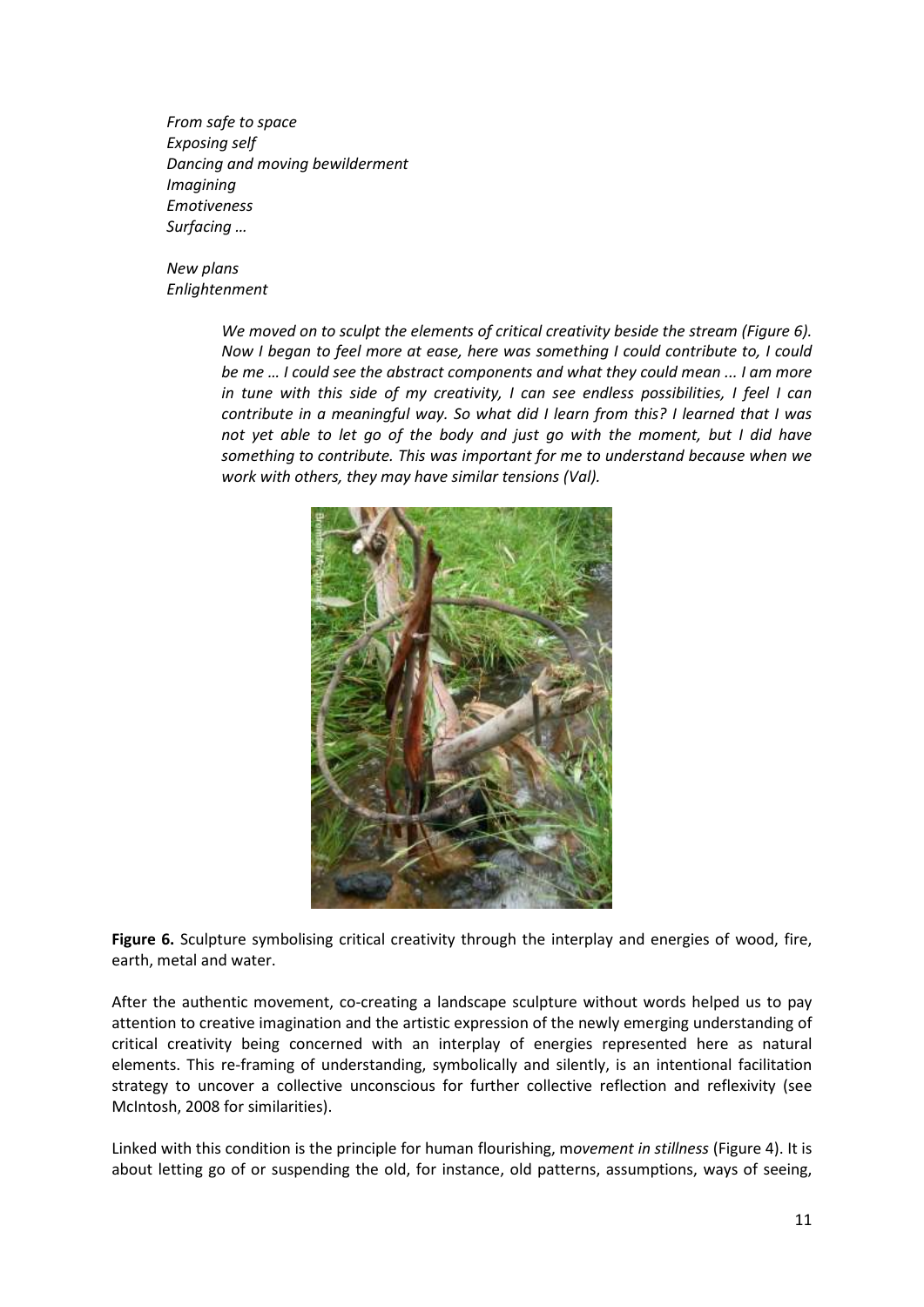*From safe to space Exposing self Dancing and moving bewilderment Imagining Emotiveness Surfacing …* 

*New plans Enlightenment* 

> *We moved on to sculpt the elements of critical creativity beside the stream (Figure 6). Now I began to feel more at ease, here was something I could contribute to, I could be me … I could see the abstract components and what they could mean ... I am more in tune with this side of my creativity, I can see endless possibilities, I feel I can contribute in a meaningful way. So what did I learn from this? I learned that I was not yet able to let go of the body and just go with the moment, but I did have something to contribute. This was important for me to understand because when we work with others, they may have similar tensions (Val).*



**Figure 6.** Sculpture symbolising critical creativity through the interplay and energies of wood, fire, earth, metal and water.

After the authentic movement, co-creating a landscape sculpture without words helped us to pay attention to creative imagination and the artistic expression of the newly emerging understanding of critical creativity being concerned with an interplay of energies represented here as natural elements. This re-framing of understanding, symbolically and silently, is an intentional facilitation strategy to uncover a collective unconscious for further collective reflection and reflexivity (see McIntosh, 2008 for similarities).

Linked with this condition is the principle for human flourishing, m*ovement in stillness* (Figure 4). It is about letting go of or suspending the old, for instance, old patterns, assumptions, ways of seeing,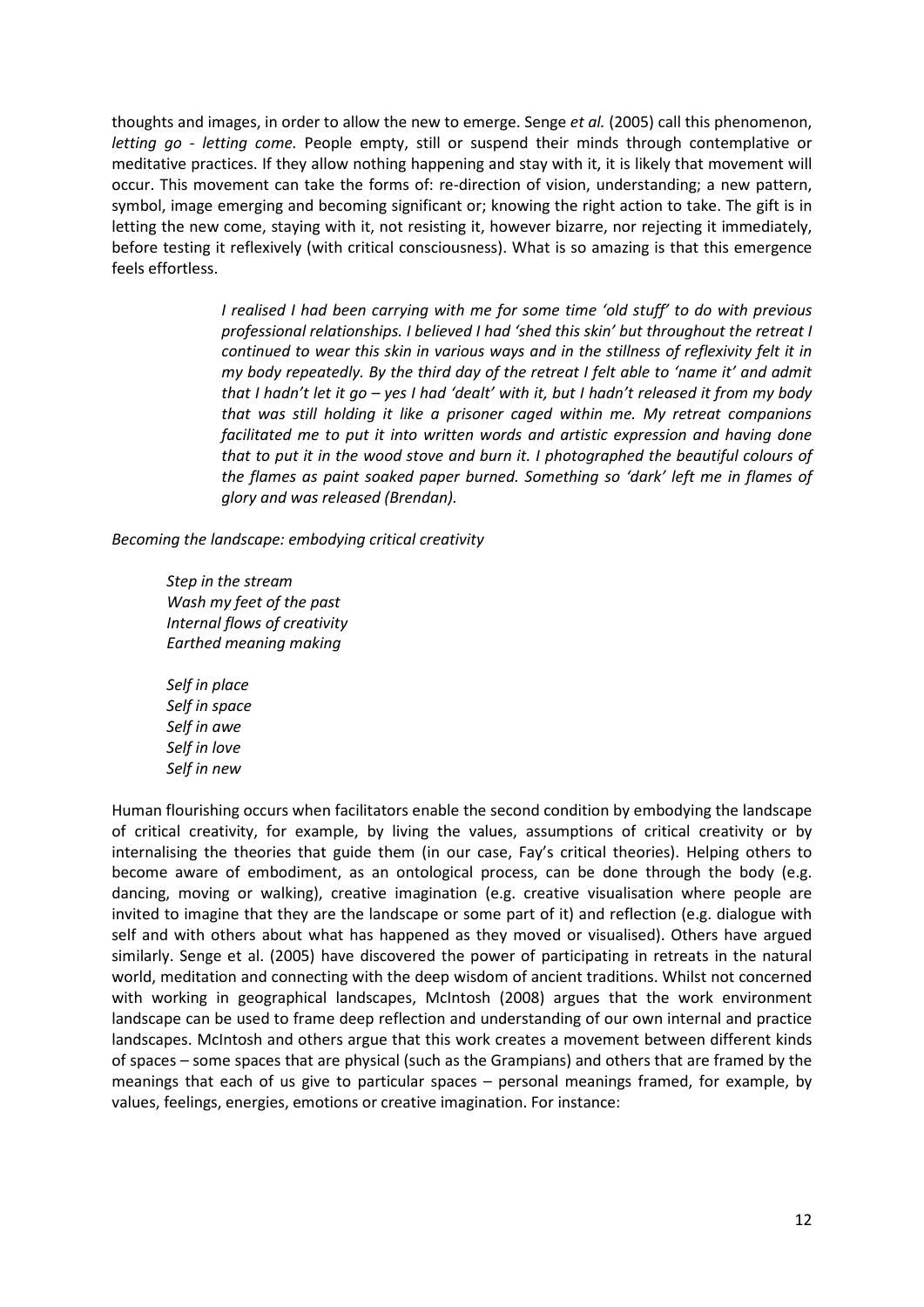thoughts and images, in order to allow the new to emerge. Senge *et al.* (2005) call this phenomenon, *letting go - letting come.* People empty, still or suspend their minds through contemplative or meditative practices. If they allow nothing happening and stay with it, it is likely that movement will occur. This movement can take the forms of: re-direction of vision, understanding; a new pattern, symbol, image emerging and becoming significant or; knowing the right action to take. The gift is in letting the new come, staying with it, not resisting it, however bizarre, nor rejecting it immediately, before testing it reflexively (with critical consciousness). What is so amazing is that this emergence feels effortless.

> *I realised I had been carrying with me for some time 'old stuff' to do with previous professional relationships. I believed I had 'shed this skin' but throughout the retreat I continued to wear this skin in various ways and in the stillness of reflexivity felt it in my body repeatedly. By the third day of the retreat I felt able to 'name it' and admit that I hadn't let it go – yes I had 'dealt' with it, but I hadn't released it from my body that was still holding it like a prisoner caged within me. My retreat companions facilitated me to put it into written words and artistic expression and having done that to put it in the wood stove and burn it. I photographed the beautiful colours of the flames as paint soaked paper burned. Something so 'dark' left me in flames of glory and was released (Brendan).*

*Becoming the landscape: embodying critical creativity* 

*Step in the stream Wash my feet of the past Internal flows of creativity Earthed meaning making* 

*Self in place Self in space Self in awe Self in love Self in new* 

Human flourishing occurs when facilitators enable the second condition by embodying the landscape of critical creativity, for example, by living the values, assumptions of critical creativity or by internalising the theories that guide them (in our case, Fay's critical theories). Helping others to become aware of embodiment, as an ontological process, can be done through the body (e.g. dancing, moving or walking), creative imagination (e.g. creative visualisation where people are invited to imagine that they are the landscape or some part of it) and reflection (e.g. dialogue with self and with others about what has happened as they moved or visualised). Others have argued similarly. Senge et al. (2005) have discovered the power of participating in retreats in the natural world, meditation and connecting with the deep wisdom of ancient traditions. Whilst not concerned with working in geographical landscapes, McIntosh (2008) argues that the work environment landscape can be used to frame deep reflection and understanding of our own internal and practice landscapes. McIntosh and others argue that this work creates a movement between different kinds of spaces – some spaces that are physical (such as the Grampians) and others that are framed by the meanings that each of us give to particular spaces – personal meanings framed, for example, by values, feelings, energies, emotions or creative imagination. For instance: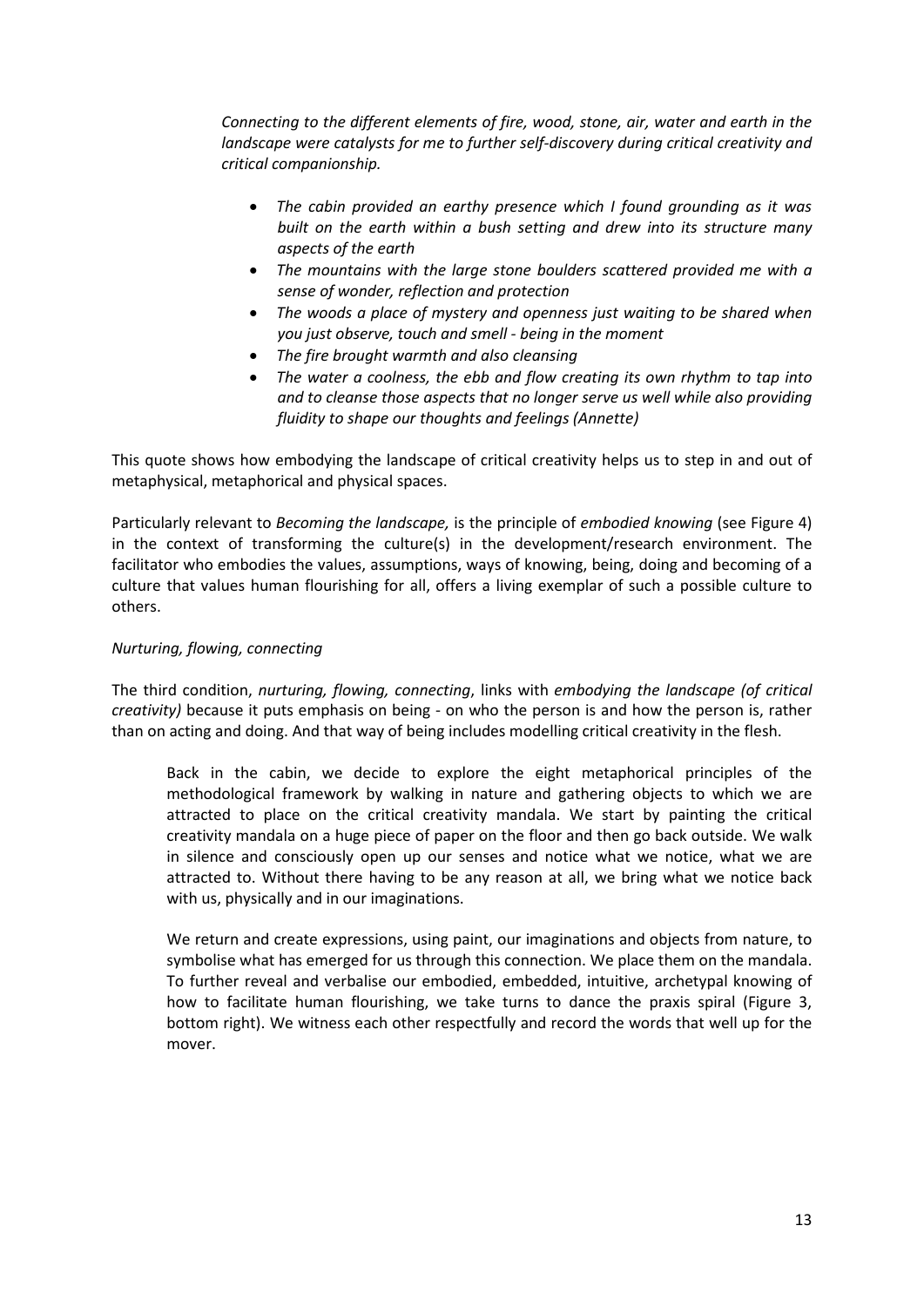*Connecting to the different elements of fire, wood, stone, air, water and earth in the landscape were catalysts for me to further self-discovery during critical creativity and critical companionship.* 

- *The cabin provided an earthy presence which I found grounding as it was built on the earth within a bush setting and drew into its structure many aspects of the earth*
- *The mountains with the large stone boulders scattered provided me with a sense of wonder, reflection and protection*
- *The woods a place of mystery and openness just waiting to be shared when you just observe, touch and smell - being in the moment*
- *The fire brought warmth and also cleansing*
- *The water a coolness, the ebb and flow creating its own rhythm to tap into and to cleanse those aspects that no longer serve us well while also providing fluidity to shape our thoughts and feelings (Annette)*

This quote shows how embodying the landscape of critical creativity helps us to step in and out of metaphysical, metaphorical and physical spaces.

Particularly relevant to *Becoming the landscape,* is the principle of *embodied knowing* (see Figure 4) in the context of transforming the culture(s) in the development/research environment. The facilitator who embodies the values, assumptions, ways of knowing, being, doing and becoming of a culture that values human flourishing for all, offers a living exemplar of such a possible culture to others.

# *Nurturing, flowing, connecting*

The third condition, *nurturing, flowing, connecting*, links with *embodying the landscape (of critical creativity)* because it puts emphasis on being - on who the person is and how the person is, rather than on acting and doing. And that way of being includes modelling critical creativity in the flesh.

Back in the cabin, we decide to explore the eight metaphorical principles of the methodological framework by walking in nature and gathering objects to which we are attracted to place on the critical creativity mandala. We start by painting the critical creativity mandala on a huge piece of paper on the floor and then go back outside. We walk in silence and consciously open up our senses and notice what we notice, what we are attracted to. Without there having to be any reason at all, we bring what we notice back with us, physically and in our imaginations.

We return and create expressions, using paint, our imaginations and objects from nature, to symbolise what has emerged for us through this connection. We place them on the mandala. To further reveal and verbalise our embodied, embedded, intuitive, archetypal knowing of how to facilitate human flourishing, we take turns to dance the praxis spiral (Figure 3, bottom right). We witness each other respectfully and record the words that well up for the mover.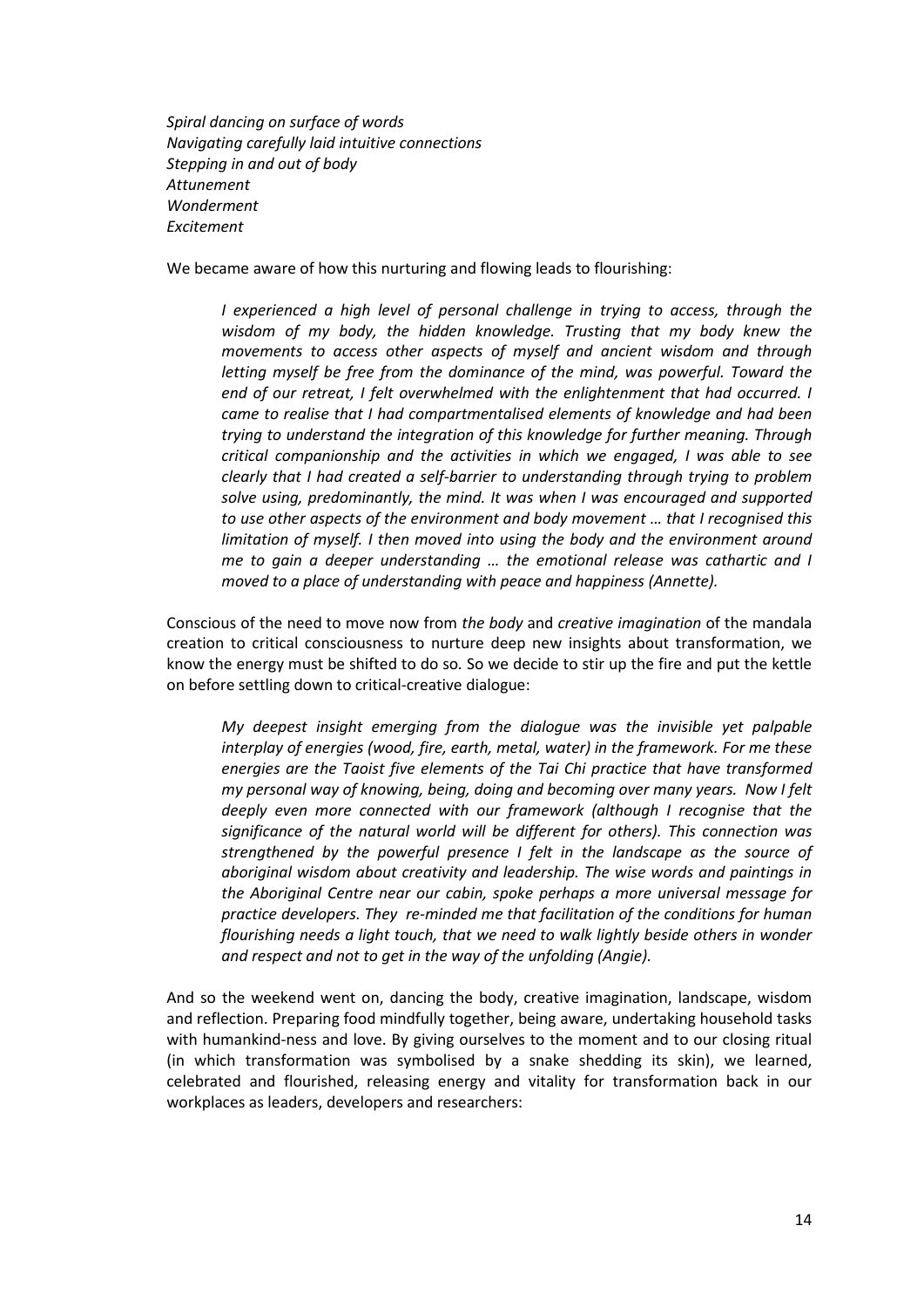*Spiral dancing on surface of words Navigating carefully laid intuitive connections Stepping in and out of body Attunement Wonderment Excitement*

We became aware of how this nurturing and flowing leads to flourishing:

*I experienced a high level of personal challenge in trying to access, through the wisdom of my body, the hidden knowledge. Trusting that my body knew the movements to access other aspects of myself and ancient wisdom and through letting myself be free from the dominance of the mind, was powerful. Toward the end of our retreat, I felt overwhelmed with the enlightenment that had occurred. I came to realise that I had compartmentalised elements of knowledge and had been trying to understand the integration of this knowledge for further meaning. Through critical companionship and the activities in which we engaged, I was able to see clearly that I had created a self-barrier to understanding through trying to problem solve using, predominantly, the mind. It was when I was encouraged and supported to use other aspects of the environment and body movement … that I recognised this limitation of myself. I then moved into using the body and the environment around me to gain a deeper understanding … the emotional release was cathartic and I moved to a place of understanding with peace and happiness (Annette).* 

Conscious of the need to move now from *the body* and *creative imagination* of the mandala creation to critical consciousness to nurture deep new insights about transformation, we know the energy must be shifted to do so*.* So we decide to stir up the fire and put the kettle on before settling down to critical-creative dialogue:

*My deepest insight emerging from the dialogue was the invisible yet palpable interplay of energies (wood, fire, earth, metal, water) in the framework. For me these energies are the Taoist five elements of the Tai Chi practice that have transformed my personal way of knowing, being, doing and becoming over many years. Now I felt deeply even more connected with our framework (although I recognise that the significance of the natural world will be different for others). This connection was strengthened by the powerful presence I felt in the landscape as the source of aboriginal wisdom about creativity and leadership. The wise words and paintings in the Aboriginal Centre near our cabin, spoke perhaps a more universal message for practice developers. They re-minded me that facilitation of the conditions for human flourishing needs a light touch, that we need to walk lightly beside others in wonder and respect and not to get in the way of the unfolding (Angie).* 

And so the weekend went on, dancing the body, creative imagination, landscape, wisdom and reflection. Preparing food mindfully together, being aware, undertaking household tasks with humankind-ness and love. By giving ourselves to the moment and to our closing ritual (in which transformation was symbolised by a snake shedding its skin), we learned, celebrated and flourished, releasing energy and vitality for transformation back in our workplaces as leaders, developers and researchers: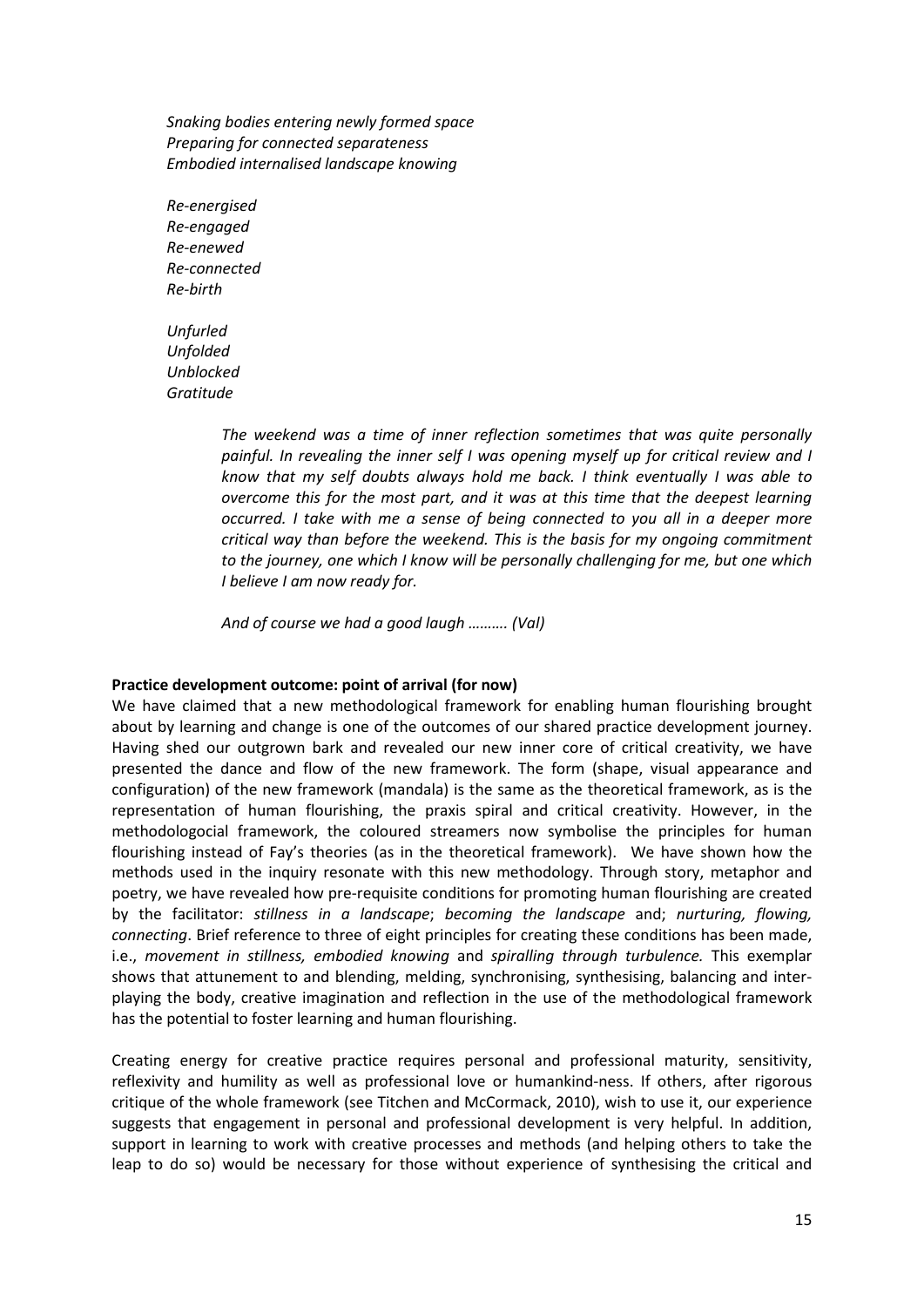*Snaking bodies entering newly formed space Preparing for connected separateness Embodied internalised landscape knowing* 

*Re-energised Re-engaged Re-enewed Re-connected Re-birth* 

*Unfurled Unfolded Unblocked Gratitude* 

> *The weekend was a time of inner reflection sometimes that was quite personally painful. In revealing the inner self I was opening myself up for critical review and I know that my self doubts always hold me back. I think eventually I was able to overcome this for the most part, and it was at this time that the deepest learning occurred. I take with me a sense of being connected to you all in a deeper more critical way than before the weekend. This is the basis for my ongoing commitment to the journey, one which I know will be personally challenging for me, but one which I believe I am now ready for.*

*And of course we had a good laugh ………. (Val)* 

#### **Practice development outcome: point of arrival (for now)**

We have claimed that a new methodological framework for enabling human flourishing brought about by learning and change is one of the outcomes of our shared practice development journey. Having shed our outgrown bark and revealed our new inner core of critical creativity, we have presented the dance and flow of the new framework. The form (shape, visual appearance and configuration) of the new framework (mandala) is the same as the theoretical framework, as is the representation of human flourishing, the praxis spiral and critical creativity. However, in the methodologocial framework, the coloured streamers now symbolise the principles for human flourishing instead of Fay's theories (as in the theoretical framework). We have shown how the methods used in the inquiry resonate with this new methodology. Through story, metaphor and poetry, we have revealed how pre-requisite conditions for promoting human flourishing are created by the facilitator: *stillness in a landscape*; *becoming the landscape* and; *nurturing, flowing, connecting*. Brief reference to three of eight principles for creating these conditions has been made, i.e., *movement in stillness, embodied knowing* and *spiralling through turbulence.* This exemplar shows that attunement to and blending, melding, synchronising, synthesising, balancing and interplaying the body, creative imagination and reflection in the use of the methodological framework has the potential to foster learning and human flourishing.

Creating energy for creative practice requires personal and professional maturity, sensitivity, reflexivity and humility as well as professional love or humankind-ness. If others, after rigorous critique of the whole framework (see Titchen and McCormack, 2010), wish to use it, our experience suggests that engagement in personal and professional development is very helpful. In addition, support in learning to work with creative processes and methods (and helping others to take the leap to do so) would be necessary for those without experience of synthesising the critical and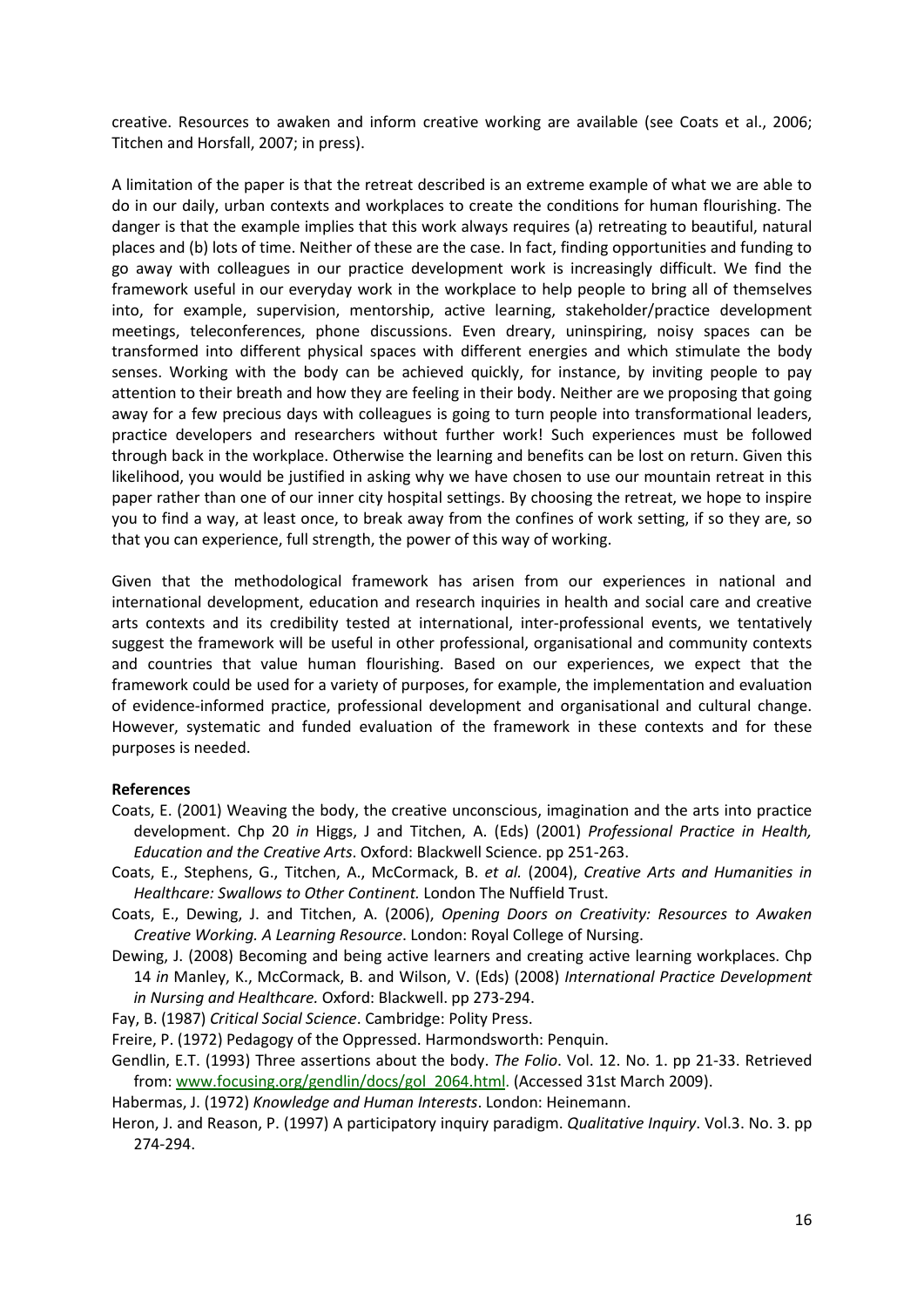creative. Resources to awaken and inform creative working are available (see Coats et al., 2006; Titchen and Horsfall, 2007; in press).

A limitation of the paper is that the retreat described is an extreme example of what we are able to do in our daily, urban contexts and workplaces to create the conditions for human flourishing. The danger is that the example implies that this work always requires (a) retreating to beautiful, natural places and (b) lots of time. Neither of these are the case. In fact, finding opportunities and funding to go away with colleagues in our practice development work is increasingly difficult. We find the framework useful in our everyday work in the workplace to help people to bring all of themselves into, for example, supervision, mentorship, active learning, stakeholder/practice development meetings, teleconferences, phone discussions. Even dreary, uninspiring, noisy spaces can be transformed into different physical spaces with different energies and which stimulate the body senses. Working with the body can be achieved quickly, for instance, by inviting people to pay attention to their breath and how they are feeling in their body. Neither are we proposing that going away for a few precious days with colleagues is going to turn people into transformational leaders, practice developers and researchers without further work! Such experiences must be followed through back in the workplace. Otherwise the learning and benefits can be lost on return. Given this likelihood, you would be justified in asking why we have chosen to use our mountain retreat in this paper rather than one of our inner city hospital settings. By choosing the retreat, we hope to inspire you to find a way, at least once, to break away from the confines of work setting, if so they are, so that you can experience, full strength, the power of this way of working.

Given that the methodological framework has arisen from our experiences in national and international development, education and research inquiries in health and social care and creative arts contexts and its credibility tested at international, inter-professional events, we tentatively suggest the framework will be useful in other professional, organisational and community contexts and countries that value human flourishing. Based on our experiences, we expect that the framework could be used for a variety of purposes, for example, the implementation and evaluation of evidence-informed practice, professional development and organisational and cultural change. However, systematic and funded evaluation of the framework in these contexts and for these purposes is needed.

#### **References**

- Coats, E. (2001) Weaving the body, the creative unconscious, imagination and the arts into practice development. Chp 20 *in* Higgs, J and Titchen, A. (Eds) (2001) *Professional Practice in Health, Education and the Creative Arts*. Oxford: Blackwell Science. pp 251-263.
- Coats, E., Stephens, G., Titchen, A., McCormack, B. *et al.* (2004), *Creative Arts and Humanities in Healthcare: Swallows to Other Continent.* London The Nuffield Trust.
- Coats, E., Dewing, J. and Titchen, A. (2006), *Opening Doors on Creativity: Resources to Awaken Creative Working. A Learning Resource*. London: Royal College of Nursing.
- Dewing, J. (2008) Becoming and being active learners and creating active learning workplaces. Chp 14 *in* Manley, K., McCormack, B. and Wilson, V. (Eds) (2008) *International Practice Development in Nursing and Healthcare.* Oxford: Blackwell. pp 273-294.
- Fay, B. (1987) *Critical Social Science*. Cambridge: Polity Press.
- Freire, P. (1972) Pedagogy of the Oppressed. Harmondsworth: Penquin.
- Gendlin, E.T. (1993) Three assertions about the body. *The Folio*. Vol. 12. No. 1. pp 21-33. Retrieved from: www.focusing.org/gendlin/docs/gol\_2064.html. (Accessed 31st March 2009).
- Habermas, J. (1972) *Knowledge and Human Interests*. London: Heinemann.
- Heron, J. and Reason, P. (1997) A participatory inquiry paradigm. *Qualitative Inquiry*. Vol.3. No. 3. pp 274-294.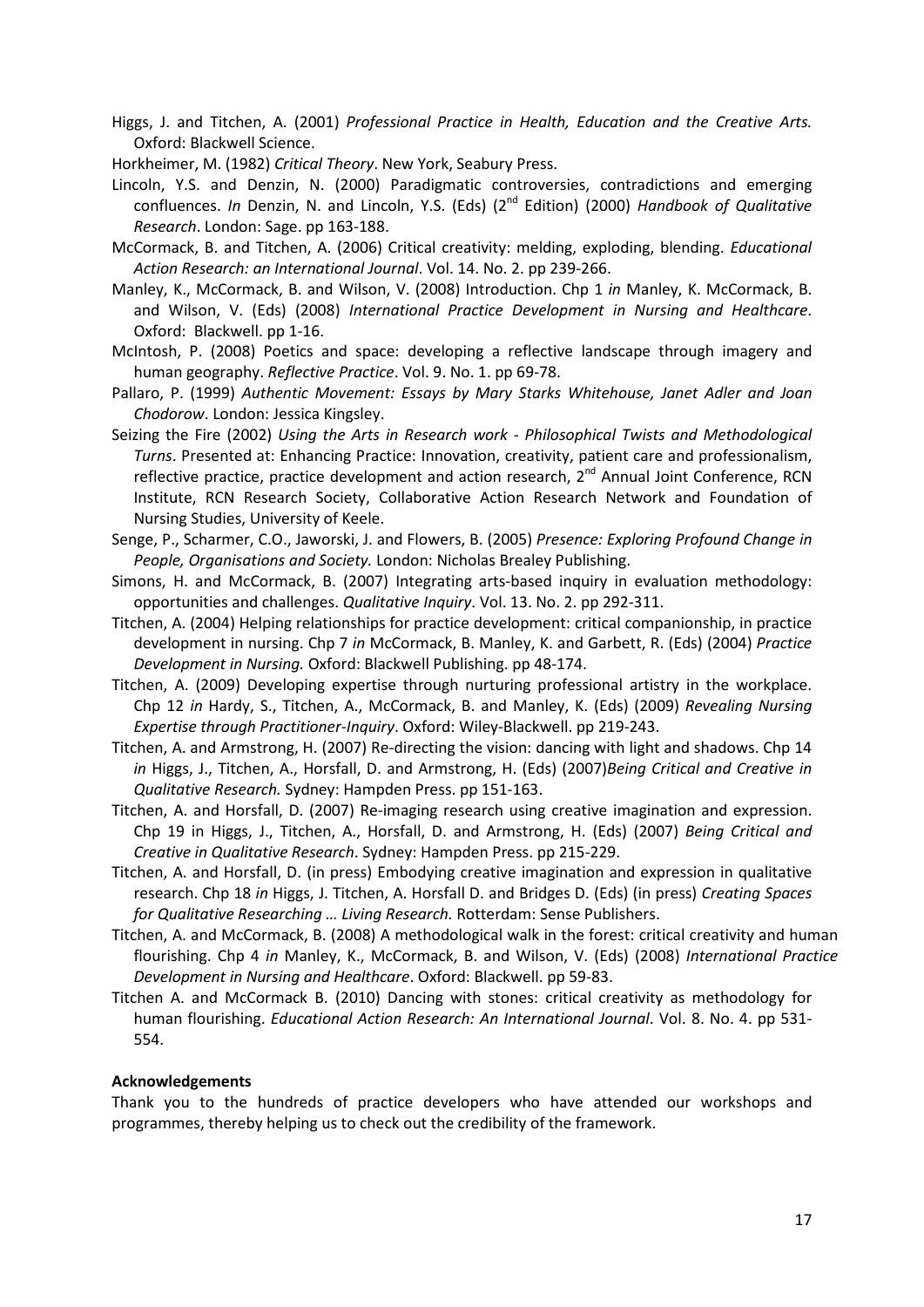- Higgs, J. and Titchen, A. (2001) *Professional Practice in Health, Education and the Creative Arts.*  Oxford: Blackwell Science.
- Horkheimer, M. (1982) *Critical Theory*. New York, Seabury Press.
- Lincoln, Y.S. and Denzin, N. (2000) Paradigmatic controversies, contradictions and emerging confluences. *In* Denzin, N. and Lincoln, Y.S. (Eds) (2nd Edition) (2000) *Handbook of Qualitative Research*. London: Sage. pp 163-188.
- McCormack, B. and Titchen, A. (2006) Critical creativity: melding, exploding, blending. *Educational Action Research: an International Journal*. Vol. 14. No. 2. pp 239-266.
- Manley, K., McCormack, B. and Wilson, V. (2008) Introduction. Chp 1 *in* Manley, K. McCormack, B. and Wilson, V. (Eds) (2008) *International Practice Development in Nursing and Healthcare*. Oxford: Blackwell. pp 1-16.
- McIntosh, P. (2008) Poetics and space: developing a reflective landscape through imagery and human geography. *Reflective Practice*. Vol. 9. No. 1. pp 69-78.
- Pallaro, P. (1999) *Authentic Movement: Essays by Mary Starks Whitehouse, Janet Adler and Joan Chodorow*. London: Jessica Kingsley.
- Seizing the Fire (2002) *Using the Arts in Research work Philosophical Twists and Methodological Turns*. Presented at: Enhancing Practice: Innovation, creativity, patient care and professionalism, reflective practice, practice development and action research,  $2^{nd}$  Annual Joint Conference, RCN Institute, RCN Research Society, Collaborative Action Research Network and Foundation of Nursing Studies, University of Keele.
- Senge, P., Scharmer, C.O., Jaworski, J. and Flowers, B. (2005) *Presence: Exploring Profound Change in People, Organisations and Society.* London: Nicholas Brealey Publishing.
- Simons, H. and McCormack, B. (2007) Integrating arts-based inquiry in evaluation methodology: opportunities and challenges. *Qualitative Inquiry*. Vol. 13. No. 2. pp 292-311.
- Titchen, A. (2004) Helping relationships for practice development: critical companionship, in practice development in nursing. Chp 7 *in* McCormack, B. Manley, K. and Garbett, R. (Eds) (2004) *Practice Development in Nursing.* Oxford: Blackwell Publishing. pp 48-174.
- Titchen, A. (2009) Developing expertise through nurturing professional artistry in the workplace. Chp 12 *in* Hardy, S., Titchen, A., McCormack, B. and Manley, K. (Eds) (2009) *Revealing Nursing Expertise through Practitioner-Inquiry*. Oxford: Wiley-Blackwell. pp 219-243.
- Titchen, A. and Armstrong, H. (2007) Re-directing the vision: dancing with light and shadows. Chp 14 *in* Higgs, J., Titchen, A., Horsfall, D. and Armstrong, H. (Eds) (2007)*Being Critical and Creative in Qualitative Research.* Sydney: Hampden Press. pp 151-163.
- Titchen, A. and Horsfall, D. (2007) Re-imaging research using creative imagination and expression. Chp 19 in Higgs, J., Titchen, A., Horsfall, D. and Armstrong, H. (Eds) (2007) *Being Critical and Creative in Qualitative Research*. Sydney: Hampden Press. pp 215-229.
- Titchen, A. and Horsfall, D. (in press) Embodying creative imagination and expression in qualitative research. Chp 18 *in* Higgs, J. Titchen, A. Horsfall D. and Bridges D. (Eds) (in press) *Creating Spaces for Qualitative Researching … Living Research.* Rotterdam: Sense Publishers.
- Titchen, A. and McCormack, B. (2008) A methodological walk in the forest: critical creativity and human flourishing. Chp 4 *in* Manley, K., McCormack, B. and Wilson, V. (Eds) (2008) *International Practice Development in Nursing and Healthcare*. Oxford: Blackwell. pp 59-83.
- Titchen A. and McCormack B. (2010) Dancing with stones: critical creativity as methodology for human flourishing. *Educational Action Research: An International Journal*. Vol. 8. No. 4. pp 531- 554.

#### **Acknowledgements**

Thank you to the hundreds of practice developers who have attended our workshops and programmes, thereby helping us to check out the credibility of the framework.